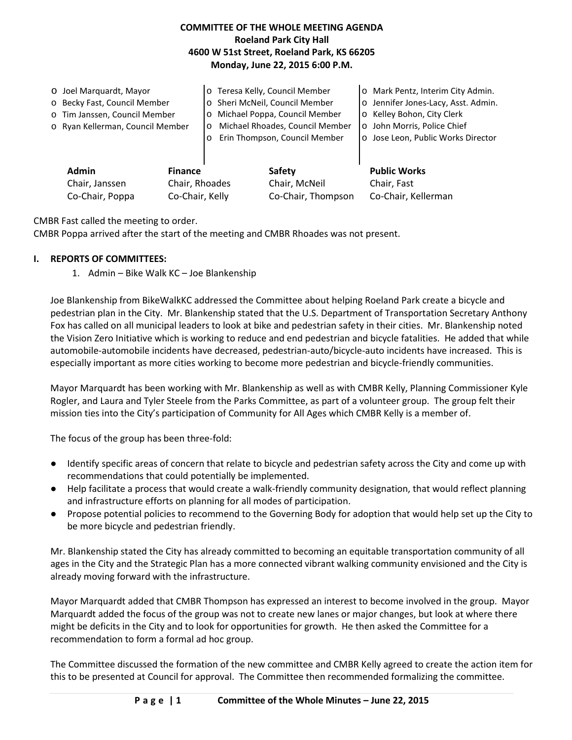## **COMMITTEE OF THE WHOLE MEETING AGENDA Roeland Park City Hall 4600 W 51st Street, Roeland Park, KS 66205 Monday, June 22, 2015 6:00 P.M.**

|  | O Joel Marquardt, Mayor<br>o Becky Fast, Council Member<br>o Tim Janssen, Council Member<br>o Ryan Kellerman, Council Member<br><b>Admin</b><br><b>Finance</b><br>Chair, Janssen<br>Chair, Rhoades<br>Co-Chair, Poppa<br>Co-Chair, Kelly |  | o Teresa Kelly, Council Member<br>o Sheri McNeil, Council Member<br>Michael Poppa, Council Member<br>$\circ$<br>Michael Rhoades, Council Member<br>$\circ$<br>Erin Thompson, Council Member<br>$\circ$ |                         | o Mark Pentz, Interim City Admin.<br>o Jennifer Jones-Lacy, Asst. Admin.<br>o Kelley Bohon, City Clerk<br>o John Morris, Police Chief<br>o Jose Leon, Public Works Director |
|--|------------------------------------------------------------------------------------------------------------------------------------------------------------------------------------------------------------------------------------------|--|--------------------------------------------------------------------------------------------------------------------------------------------------------------------------------------------------------|-------------------------|-----------------------------------------------------------------------------------------------------------------------------------------------------------------------------|
|  |                                                                                                                                                                                                                                          |  |                                                                                                                                                                                                        | Safety<br>Chair, McNeil | <b>Public Works</b><br>Chair, Fast                                                                                                                                          |
|  |                                                                                                                                                                                                                                          |  |                                                                                                                                                                                                        | Co-Chair, Thompson      | Co-Chair, Kellerman                                                                                                                                                         |

CMBR Fast called the meeting to order.

CMBR Poppa arrived after the start of the meeting and CMBR Rhoades was not present.

#### **I. REPORTS OF COMMITTEES:**

1. Admin – Bike Walk KC – Joe Blankenship

Joe Blankenship from BikeWalkKC addressed the Committee about helping Roeland Park create a bicycle and pedestrian plan in the City. Mr. Blankenship stated that the U.S. Department of Transportation Secretary Anthony Fox has called on all municipal leaders to look at bike and pedestrian safety in their cities. Mr. Blankenship noted the Vision Zero Initiative which is working to reduce and end pedestrian and bicycle fatalities. He added that while automobile-automobile incidents have decreased, pedestrian-auto/bicycle-auto incidents have increased. This is especially important as more cities working to become more pedestrian and bicycle-friendly communities.

Mayor Marquardt has been working with Mr. Blankenship as well as with CMBR Kelly, Planning Commissioner Kyle Rogler, and Laura and Tyler Steele from the Parks Committee, as part of a volunteer group. The group felt their mission ties into the City's participation of Community for All Ages which CMBR Kelly is a member of.

The focus of the group has been three-fold:

- Identify specific areas of concern that relate to bicycle and pedestrian safety across the City and come up with recommendations that could potentially be implemented.
- Help facilitate a process that would create a walk-friendly community designation, that would reflect planning and infrastructure efforts on planning for all modes of participation.
- Propose potential policies to recommend to the Governing Body for adoption that would help set up the City to be more bicycle and pedestrian friendly.

Mr. Blankenship stated the City has already committed to becoming an equitable transportation community of all ages in the City and the Strategic Plan has a more connected vibrant walking community envisioned and the City is already moving forward with the infrastructure.

Mayor Marquardt added that CMBR Thompson has expressed an interest to become involved in the group. Mayor Marquardt added the focus of the group was not to create new lanes or major changes, but look at where there might be deficits in the City and to look for opportunities for growth. He then asked the Committee for a recommendation to form a formal ad hoc group.

The Committee discussed the formation of the new committee and CMBR Kelly agreed to create the action item for this to be presented at Council for approval. The Committee then recommended formalizing the committee.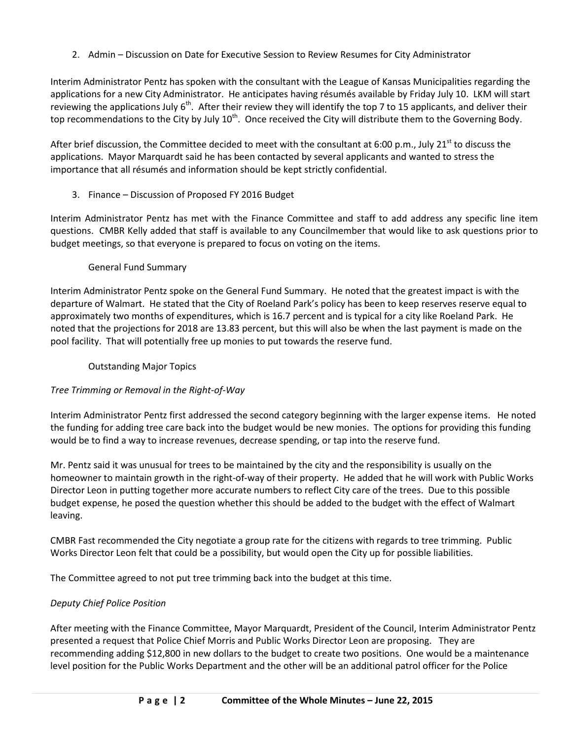2. Admin – Discussion on Date for Executive Session to Review Resumes for City Administrator

Interim Administrator Pentz has spoken with the consultant with the League of Kansas Municipalities regarding the applications for a new City Administrator. He anticipates having résumés available by Friday July 10. LKM will start reviewing the applications July  $6<sup>th</sup>$ . After their review they will identify the top 7 to 15 applicants, and deliver their top recommendations to the City by July 10<sup>th</sup>. Once received the City will distribute them to the Governing Body.

After brief discussion, the Committee decided to meet with the consultant at 6:00 p.m., July 21<sup>st</sup> to discuss the applications. Mayor Marquardt said he has been contacted by several applicants and wanted to stress the importance that all résumés and information should be kept strictly confidential.

3. Finance – Discussion of Proposed FY 2016 Budget

Interim Administrator Pentz has met with the Finance Committee and staff to add address any specific line item questions. CMBR Kelly added that staff is available to any Councilmember that would like to ask questions prior to budget meetings, so that everyone is prepared to focus on voting on the items.

## General Fund Summary

Interim Administrator Pentz spoke on the General Fund Summary. He noted that the greatest impact is with the departure of Walmart. He stated that the City of Roeland Park's policy has been to keep reserves reserve equal to approximately two months of expenditures, which is 16.7 percent and is typical for a city like Roeland Park. He noted that the projections for 2018 are 13.83 percent, but this will also be when the last payment is made on the pool facility. That will potentially free up monies to put towards the reserve fund.

## Outstanding Major Topics

# *Tree Trimming or Removal in the Right-of-Way*

Interim Administrator Pentz first addressed the second category beginning with the larger expense items. He noted the funding for adding tree care back into the budget would be new monies. The options for providing this funding would be to find a way to increase revenues, decrease spending, or tap into the reserve fund.

Mr. Pentz said it was unusual for trees to be maintained by the city and the responsibility is usually on the homeowner to maintain growth in the right-of-way of their property. He added that he will work with Public Works Director Leon in putting together more accurate numbers to reflect City care of the trees. Due to this possible budget expense, he posed the question whether this should be added to the budget with the effect of Walmart leaving.

CMBR Fast recommended the City negotiate a group rate for the citizens with regards to tree trimming. Public Works Director Leon felt that could be a possibility, but would open the City up for possible liabilities.

The Committee agreed to not put tree trimming back into the budget at this time.

# *Deputy Chief Police Position*

After meeting with the Finance Committee, Mayor Marquardt, President of the Council, Interim Administrator Pentz presented a request that Police Chief Morris and Public Works Director Leon are proposing. They are recommending adding \$12,800 in new dollars to the budget to create two positions. One would be a maintenance level position for the Public Works Department and the other will be an additional patrol officer for the Police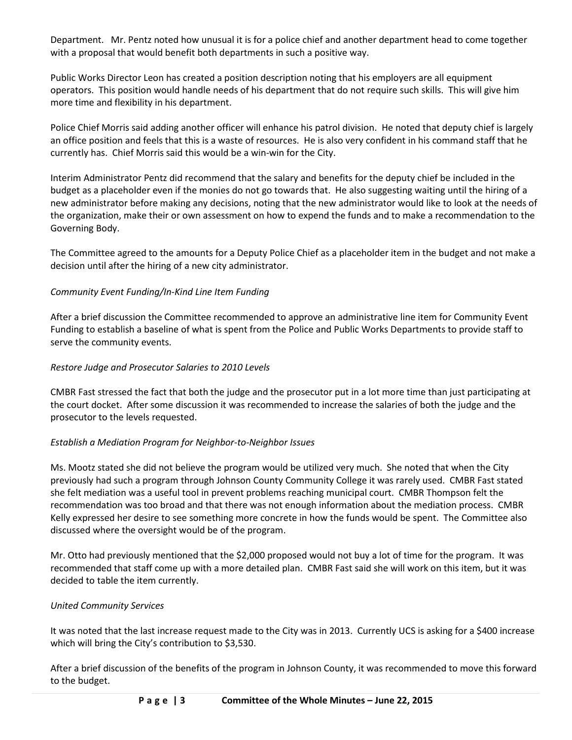Department. Mr. Pentz noted how unusual it is for a police chief and another department head to come together with a proposal that would benefit both departments in such a positive way.

Public Works Director Leon has created a position description noting that his employers are all equipment operators. This position would handle needs of his department that do not require such skills. This will give him more time and flexibility in his department.

Police Chief Morris said adding another officer will enhance his patrol division. He noted that deputy chief is largely an office position and feels that this is a waste of resources. He is also very confident in his command staff that he currently has. Chief Morris said this would be a win-win for the City.

Interim Administrator Pentz did recommend that the salary and benefits for the deputy chief be included in the budget as a placeholder even if the monies do not go towards that. He also suggesting waiting until the hiring of a new administrator before making any decisions, noting that the new administrator would like to look at the needs of the organization, make their or own assessment on how to expend the funds and to make a recommendation to the Governing Body.

The Committee agreed to the amounts for a Deputy Police Chief as a placeholder item in the budget and not make a decision until after the hiring of a new city administrator.

## *Community Event Funding/In-Kind Line Item Funding*

After a brief discussion the Committee recommended to approve an administrative line item for Community Event Funding to establish a baseline of what is spent from the Police and Public Works Departments to provide staff to serve the community events.

## *Restore Judge and Prosecutor Salaries to 2010 Levels*

CMBR Fast stressed the fact that both the judge and the prosecutor put in a lot more time than just participating at the court docket. After some discussion it was recommended to increase the salaries of both the judge and the prosecutor to the levels requested.

# *Establish a Mediation Program for Neighbor-to-Neighbor Issues*

Ms. Mootz stated she did not believe the program would be utilized very much. She noted that when the City previously had such a program through Johnson County Community College it was rarely used. CMBR Fast stated she felt mediation was a useful tool in prevent problems reaching municipal court. CMBR Thompson felt the recommendation was too broad and that there was not enough information about the mediation process. CMBR Kelly expressed her desire to see something more concrete in how the funds would be spent. The Committee also discussed where the oversight would be of the program.

Mr. Otto had previously mentioned that the \$2,000 proposed would not buy a lot of time for the program. It was recommended that staff come up with a more detailed plan. CMBR Fast said she will work on this item, but it was decided to table the item currently.

## *United Community Services*

It was noted that the last increase request made to the City was in 2013. Currently UCS is asking for a \$400 increase which will bring the City's contribution to \$3,530.

After a brief discussion of the benefits of the program in Johnson County, it was recommended to move this forward to the budget.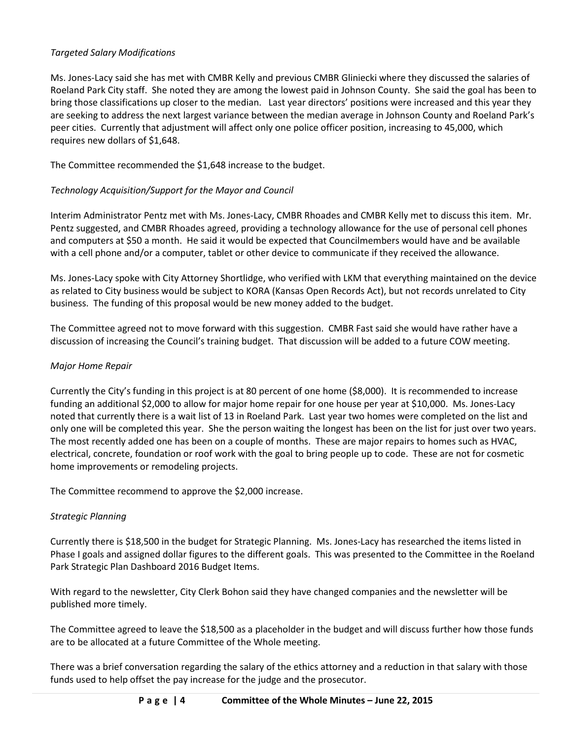## *Targeted Salary Modifications*

Ms. Jones-Lacy said she has met with CMBR Kelly and previous CMBR Gliniecki where they discussed the salaries of Roeland Park City staff. She noted they are among the lowest paid in Johnson County. She said the goal has been to bring those classifications up closer to the median. Last year directors' positions were increased and this year they are seeking to address the next largest variance between the median average in Johnson County and Roeland Park's peer cities. Currently that adjustment will affect only one police officer position, increasing to 45,000, which requires new dollars of \$1,648.

The Committee recommended the \$1,648 increase to the budget.

### *Technology Acquisition/Support for the Mayor and Council*

Interim Administrator Pentz met with Ms. Jones-Lacy, CMBR Rhoades and CMBR Kelly met to discuss this item. Mr. Pentz suggested, and CMBR Rhoades agreed, providing a technology allowance for the use of personal cell phones and computers at \$50 a month. He said it would be expected that Councilmembers would have and be available with a cell phone and/or a computer, tablet or other device to communicate if they received the allowance.

Ms. Jones-Lacy spoke with City Attorney Shortlidge, who verified with LKM that everything maintained on the device as related to City business would be subject to KORA (Kansas Open Records Act), but not records unrelated to City business. The funding of this proposal would be new money added to the budget.

The Committee agreed not to move forward with this suggestion. CMBR Fast said she would have rather have a discussion of increasing the Council's training budget. That discussion will be added to a future COW meeting.

### *Major Home Repair*

Currently the City's funding in this project is at 80 percent of one home (\$8,000). It is recommended to increase funding an additional \$2,000 to allow for major home repair for one house per year at \$10,000. Ms. Jones-Lacy noted that currently there is a wait list of 13 in Roeland Park. Last year two homes were completed on the list and only one will be completed this year. She the person waiting the longest has been on the list for just over two years. The most recently added one has been on a couple of months. These are major repairs to homes such as HVAC, electrical, concrete, foundation or roof work with the goal to bring people up to code. These are not for cosmetic home improvements or remodeling projects.

The Committee recommend to approve the \$2,000 increase.

## *Strategic Planning*

Currently there is \$18,500 in the budget for Strategic Planning. Ms. Jones-Lacy has researched the items listed in Phase I goals and assigned dollar figures to the different goals. This was presented to the Committee in the Roeland Park Strategic Plan Dashboard 2016 Budget Items.

With regard to the newsletter, City Clerk Bohon said they have changed companies and the newsletter will be published more timely.

The Committee agreed to leave the \$18,500 as a placeholder in the budget and will discuss further how those funds are to be allocated at a future Committee of the Whole meeting.

There was a brief conversation regarding the salary of the ethics attorney and a reduction in that salary with those funds used to help offset the pay increase for the judge and the prosecutor.